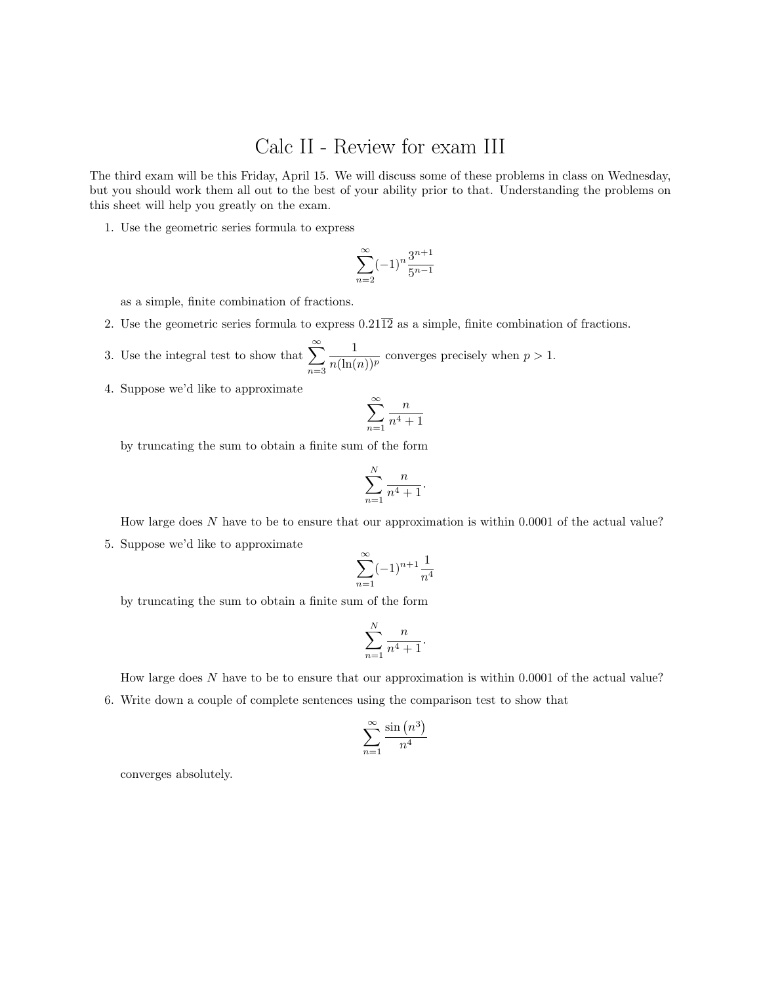## Calc II - Review for exam III

The third exam will be this Friday, April 15. We will discuss some of these problems in class on Wednesday, but you should work them all out to the best of your ability prior to that. Understanding the problems on this sheet will help you greatly on the exam.

1. Use the geometric series formula to express

$$
\sum_{n=2}^{\infty} (-1)^n \frac{3^{n+1}}{5^{n-1}}
$$

as a simple, finite combination of fractions.

2. Use the geometric series formula to express  $0.21\overline{12}$  as a simple, finite combination of fractions.

3. Use the integral test to show that  $\sum_{n=1}^{\infty}$  $n=3$ 1  $\frac{1}{n(\ln(n))^p}$  converges precisely when  $p > 1$ .

4. Suppose we'd like to approximate

$$
\sum_{n=1}^{\infty} \frac{n}{n^4 + 1}
$$

by truncating the sum to obtain a finite sum of the form

$$
\sum_{n=1}^N \frac{n}{n^4+1}.
$$

How large does N have to be to ensure that our approximation is within 0.0001 of the actual value? 5. Suppose we'd like to approximate

$$
\sum_{n=1}^{\infty} (-1)^{n+1} \frac{1}{n^4}
$$

by truncating the sum to obtain a finite sum of the form

$$
\sum_{n=1}^{N} \frac{n}{n^4 + 1}.
$$

How large does  $N$  have to be to ensure that our approximation is within 0.0001 of the actual value? 6. Write down a couple of complete sentences using the comparison test to show that

$$
\sum_{n=1}^{\infty} \frac{\sin\left(n^3\right)}{n^4}
$$

converges absolutely.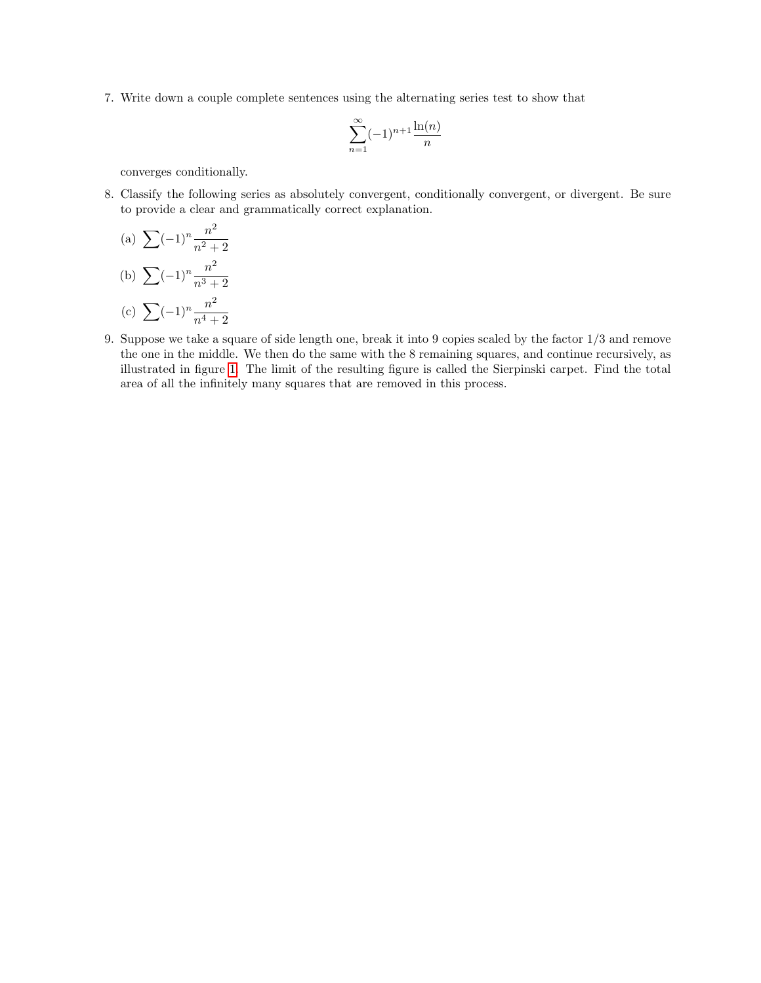7. Write down a couple complete sentences using the alternating series test to show that

$$
\sum_{n=1}^{\infty} (-1)^{n+1} \frac{\ln(n)}{n}
$$

converges conditionally.

8. Classify the following series as absolutely convergent, conditionally convergent, or divergent. Be sure to provide a clear and grammatically correct explanation.

(a) 
$$
\sum (-1)^n \frac{n^2}{n^2 + 2}
$$
  
\n(b) 
$$
\sum (-1)^n \frac{n^2}{n^3 + 2}
$$
  
\n(c) 
$$
\sum (-1)^n \frac{n^2}{n^4 + 2}
$$

9. Suppose we take a square of side length one, break it into 9 copies scaled by the factor 1/3 and remove the one in the middle. We then do the same with the 8 remaining squares, and continue recursively, as illustrated in figure [1.](#page-2-0) The limit of the resulting figure is called the Sierpinski carpet. Find the total area of all the infinitely many squares that are removed in this process.